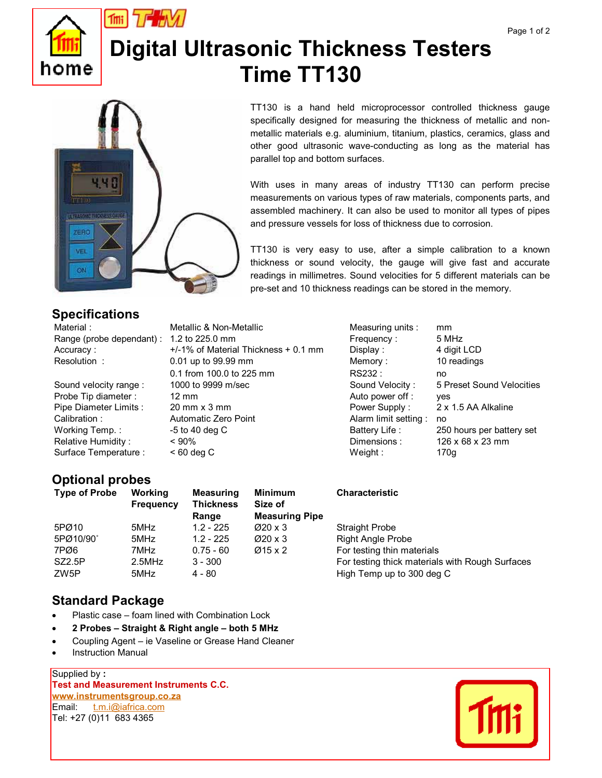

# **Digital Ultrasonic Thickness Testers Time TT130**



#### specifically designed for measuring the thickness of metallic and nonmetallic materials e.g. aluminium, titanium, plastics, ceramics, glass and other good ultrasonic wave-conducting as long as the material has parallel top and bottom surfaces.

TT130 is a hand held microprocessor controlled thickness gauge

With uses in many areas of industry TT130 can perform precise measurements on various types of raw materials, components parts, and assembled machinery. It can also be used to monitor all types of pipes and pressure vessels for loss of thickness due to corrosion.

TT130 is very easy to use, after a simple calibration to a known thickness or sound velocity, the gauge will give fast and accurate readings in millimetres. Sound velocities for 5 different materials can be pre-set and 10 thickness readings can be stored in the memory.

### **Specifications**

Material : Metallic & Non-Metallic Measuring units : mm Range (probe dependant) : 1.2 to 225.0 mm Frequency : 5 MHz Accuracy :  $+/-1\%$  of Material Thickness + 0.1 mm Display : 4 digit LCD Resolution : 0.01 up to 99.99 mm Memory : 10 readings 0.1 from 100.0 to 225 mm RS232 : https://www.franche.org/ Probe Tip diameter : 12 mm Auto power off : yes Calibration : **Automatic Zero Point** Alarm limit setting : no Surface Temperature :  $\leq 60 \text{ deg C}$  Weight : 170g

Sound velocity range : 1000 to 9999 m/sec Sound Velocity : 5 Preset Sound Velocities Pipe Diameter Limits : 20 mm x 3 mm example and the Power Supply : 2 x 1.5 AA Alkaline Working Temp. :  $-5$  to 40 deg C Battery Life : 250 hours per battery set Relative Humidity :  $\leq 90\%$   $\leq 90\%$  Dimensions :  $\leq 126 \times 68 \times 23 \text{ mm}$ 

## **Optional probes**

| <b>Type of Probe</b> | Working<br><b>Frequency</b> | <b>Measuring</b><br><b>Thickness</b><br>Range | <b>Minimum</b><br>Size of<br><b>Measuring Pipe</b> | <b>Characteristic</b>                           |
|----------------------|-----------------------------|-----------------------------------------------|----------------------------------------------------|-------------------------------------------------|
| 5PØ10                | 5MHz                        | $1.2 - 225$                                   | $\varnothing$ 20 x 3                               | <b>Straight Probe</b>                           |
| 5PØ10/90°            | 5MHz                        | $1.2 - 225$                                   | $\varnothing$ 20 x 3                               | <b>Right Angle Probe</b>                        |
| 7PØ6                 | 7MHz                        | $0.75 - 60$                                   | $\varnothing$ 15 x 2                               | For testing thin materials                      |
| <b>SZ2.5P</b>        | $2.5$ MHz                   | $3 - 300$                                     |                                                    | For testing thick materials with Rough Surfaces |
| ZW5P                 | 5MHz                        | 4 - 80                                        |                                                    | High Temp up to 300 deg C                       |

#### **Standard Package**

- -Plastic case – foam lined with Combination Lock
- -**2 Probes – Straight & Right angle – both 5 MHz**
- -Coupling Agent – ie Vaseline or Grease Hand Cleaner
- -Instruction Manual

Supplied by **: Test and Measurement Instruments C.C. www.instrumentsgroup.co.za**  Email: t.m.i@iafrica.com Tel: +27 (0)11 683 4365